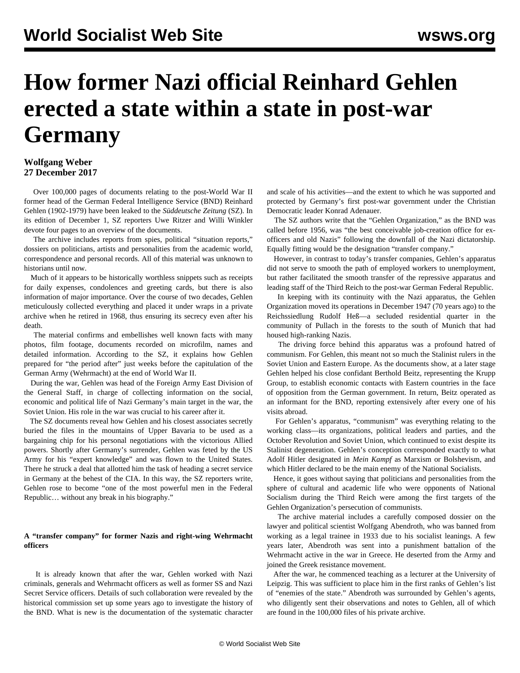# **How former Nazi official Reinhard Gehlen erected a state within a state in post-war Germany**

## **Wolfgang Weber 27 December 2017**

 Over 100,000 pages of documents relating to the post-World War II former head of the German Federal Intelligence Service (BND) Reinhard Gehlen (1902-1979) have been leaked to the *Süddeutsche Zeitung* (SZ). In its edition of December 1, SZ reporters Uwe Ritzer and Willi Winkler devote four pages to an overview of the documents.

 The archive includes reports from spies, political "situation reports," dossiers on politicians, artists and personalities from the academic world, correspondence and personal records. All of this material was unknown to historians until now.

 Much of it appears to be historically worthless snippets such as receipts for daily expenses, condolences and greeting cards, but there is also information of major importance. Over the course of two decades, Gehlen meticulously collected everything and placed it under wraps in a private archive when he retired in 1968, thus ensuring its secrecy even after his death.

 The material confirms and embellishes well known facts with many photos, film footage, documents recorded on microfilm, names and detailed information. According to the SZ, it explains how Gehlen prepared for "the period after" just weeks before the capitulation of the German Army (Wehrmacht) at the end of World War II.

 During the war, Gehlen was head of the Foreign Army East Division of the General Staff, in charge of collecting information on the social, economic and political life of Nazi Germany's main target in the war, the Soviet Union. His role in the war was crucial to his career after it.

 The SZ documents reveal how Gehlen and his closest associates secretly buried the files in the mountains of Upper Bavaria to be used as a bargaining chip for his personal negotiations with the victorious Allied powers. Shortly after Germany's surrender, Gehlen was feted by the US Army for his "expert knowledge" and was flown to the United States. There he struck a deal that allotted him the task of heading a secret service in Germany at the behest of the CIA. In this way, the SZ reporters write, Gehlen rose to become "one of the most powerful men in the Federal Republic… without any break in his biography."

### **A "transfer company" for former Nazis and right-wing Wehrmacht officers**

 It is already known that after the war, Gehlen worked with Nazi criminals, generals and Wehrmacht officers as well as former SS and Nazi Secret Service officers. Details of such collaboration were revealed by the historical commission set up some years ago to investigate the history of the BND. What is new is the documentation of the systematic character and scale of his activities—and the extent to which he was supported and protected by Germany's first post-war government under the Christian Democratic leader Konrad Adenauer.

 The SZ authors write that the "Gehlen Organization," as the BND was called before 1956, was "the best conceivable job-creation office for exofficers and old Nazis" following the downfall of the Nazi dictatorship. Equally fitting would be the designation "transfer company."

 However, in contrast to today's transfer companies, Gehlen's apparatus did not serve to smooth the path of employed workers to unemployment, but rather facilitated the smooth transfer of the repressive apparatus and leading staff of the Third Reich to the post-war German Federal Republic.

 In keeping with its continuity with the Nazi apparatus, the Gehlen Organization moved its operations in December 1947 (70 years ago) to the Reichssiedlung Rudolf Heß—a secluded residential quarter in the community of Pullach in the forests to the south of Munich that had housed high-ranking Nazis.

 The driving force behind this apparatus was a profound hatred of communism. For Gehlen, this meant not so much the Stalinist rulers in the Soviet Union and Eastern Europe. As the documents show, at a later stage Gehlen helped his close confidant Berthold Beitz, representing the Krupp Group, to establish economic contacts with Eastern countries in the face of opposition from the German government. In return, Beitz operated as an informant for the BND, reporting extensively after every one of his visits abroad.

 For Gehlen's apparatus, "communism" was everything relating to the working class—its organizations, political leaders and parties, and the October Revolution and Soviet Union, which continued to exist despite its Stalinist degeneration. Gehlen's conception corresponded exactly to what Adolf Hitler designated in *Mein Kampf* as Marxism or Bolshevism, and which Hitler declared to be the main enemy of the National Socialists.

 Hence, it goes without saying that politicians and personalities from the sphere of cultural and academic life who were opponents of National Socialism during the Third Reich were among the first targets of the Gehlen Organization's persecution of communists.

 The archive material includes a carefully composed dossier on the lawyer and political scientist Wolfgang Abendroth, who was banned from working as a legal trainee in 1933 due to his socialist leanings. A few years later, Abendroth was sent into a punishment battalion of the Wehrmacht active in the war in Greece. He deserted from the Army and joined the Greek resistance movement.

 After the war, he commenced teaching as a lecturer at the University of Leipzig. This was sufficient to place him in the first ranks of Gehlen's list of "enemies of the state." Abendroth was surrounded by Gehlen's agents, who diligently sent their observations and notes to Gehlen, all of which are found in the 100,000 files of his private archive.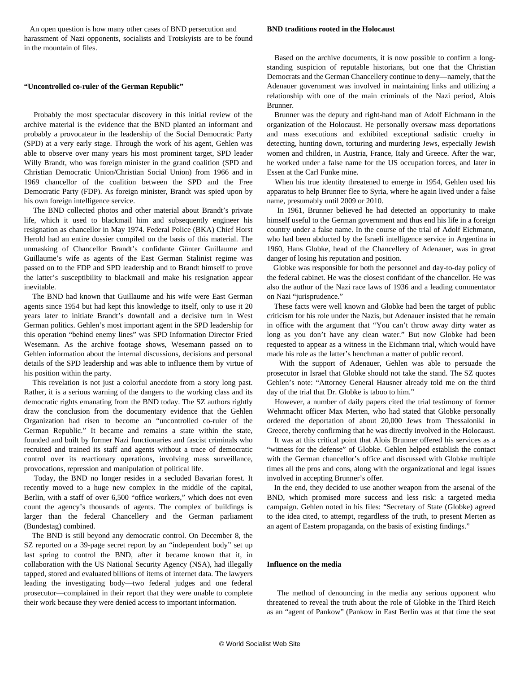An open question is how many other cases of BND persecution and harassment of Nazi opponents, socialists and Trotskyists are to be found in the mountain of files.

#### **"Uncontrolled co-ruler of the German Republic"**

 Probably the most spectacular discovery in this initial review of the archive material is the evidence that the BND planted an informant and probably a provocateur in the leadership of the Social Democratic Party (SPD) at a very early stage. Through the work of his agent, Gehlen was able to observe over many years his most prominent target, SPD leader Willy Brandt, who was foreign minister in the grand coalition (SPD and Christian Democratic Union/Christian Social Union) from 1966 and in 1969 chancellor of the coalition between the SPD and the Free Democratic Party (FDP). As foreign minister, Brandt was spied upon by his own foreign intelligence service.

 The BND collected photos and other material about Brandt's private life, which it used to blackmail him and subsequently engineer his resignation as chancellor in May 1974. Federal Police (BKA) Chief Horst Herold had an entire dossier compiled on the basis of this material. The unmasking of Chancellor Brandt's confidante Günter Guillaume and Guillaume's wife as agents of the East German Stalinist regime was passed on to the FDP and SPD leadership and to Brandt himself to prove the latter's susceptibility to blackmail and make his resignation appear inevitable.

 The BND had known that Guillaume and his wife were East German agents since 1954 but had kept this knowledge to itself, only to use it 20 years later to initiate Brandt's downfall and a decisive turn in West German politics. Gehlen's most important agent in the SPD leadership for this operation "behind enemy lines" was SPD Information Director Fried Wesemann. As the archive footage shows, Wesemann passed on to Gehlen information about the internal discussions, decisions and personal details of the SPD leadership and was able to influence them by virtue of his position within the party.

 This revelation is not just a colorful anecdote from a story long past. Rather, it is a serious warning of the dangers to the working class and its democratic rights emanating from the BND today. The SZ authors rightly draw the conclusion from the documentary evidence that the Gehlen Organization had risen to become an "uncontrolled co-ruler of the German Republic." It became and remains a state within the state, founded and built by former Nazi functionaries and fascist criminals who recruited and trained its staff and agents without a trace of democratic control over its reactionary operations, involving mass surveillance, provocations, repression and manipulation of political life.

 Today, the BND no longer resides in a secluded Bavarian forest. It recently moved to a huge new complex in the middle of the capital, Berlin, with a staff of over 6,500 "office workers," which does not even count the agency's thousands of agents. The complex of buildings is larger than the federal Chancellery and the German parliament (Bundestag) combined.

 The BND is still beyond any democratic control. On December 8, the SZ reported on a 39-page secret report by an "independent body" set up last spring to control the BND, after it became known that it, in collaboration with the US National Security Agency (NSA), had illegally tapped, stored and evaluated billions of items of internet data. The lawyers leading the investigating body—two federal judges and one federal prosecutor—complained in their report that they were unable to complete their work because they were denied access to important information.

#### **BND traditions rooted in the Holocaust**

 Based on the archive documents, it is now possible to confirm a longstanding suspicion of reputable historians, but one that the Christian Democrats and the German Chancellery continue to deny—namely, that the Adenauer government was involved in maintaining links and utilizing a relationship with one of the main criminals of the Nazi period, Alois Brunner.

 Brunner was the deputy and right-hand man of Adolf Eichmann in the organization of the Holocaust. He personally oversaw mass deportations and mass executions and exhibited exceptional sadistic cruelty in detecting, hunting down, torturing and murdering Jews, especially Jewish women and children, in Austria, France, Italy and Greece. After the war, he worked under a false name for the US occupation forces, and later in Essen at the Carl Funke mine.

 When his true identity threatened to emerge in 1954, Gehlen used his apparatus to help Brunner flee to Syria, where he again lived under a false name, presumably until 2009 or 2010.

 In 1961, Brunner believed he had detected an opportunity to make himself useful to the German government and thus end his life in a foreign country under a false name. In the course of the trial of Adolf Eichmann, who had been abducted by the Israeli intelligence service in Argentina in 1960, Hans Globke, head of the Chancellery of Adenauer, was in great danger of losing his reputation and position.

 Globke was responsible for both the personnel and day-to-day policy of the federal cabinet. He was the closest confidant of the chancellor. He was also the author of the Nazi race laws of 1936 and a leading commentator on Nazi "jurisprudence."

 These facts were well known and Globke had been the target of public criticism for his role under the Nazis, but Adenauer insisted that he remain in office with the argument that "You can't throw away dirty water as long as you don't have any clean water." But now Globke had been requested to appear as a witness in the Eichmann trial, which would have made his role as the latter's henchman a matter of public record.

 With the support of Adenauer, Gehlen was able to persuade the prosecutor in Israel that Globke should not take the stand. The SZ quotes Gehlen's note: "Attorney General Hausner already told me on the third day of the trial that Dr. Globke is taboo to him."

 However, a number of daily papers cited the trial testimony of former Wehrmacht officer Max Merten, who had stated that Globke personally ordered the deportation of about 20,000 Jews from Thessaloniki in Greece, thereby confirming that he was directly involved in the Holocaust.

 It was at this critical point that Alois Brunner offered his services as a "witness for the defense" of Globke. Gehlen helped establish the contact with the German chancellor's office and discussed with Globke multiple times all the pros and cons, along with the organizational and legal issues involved in accepting Brunner's offer.

 In the end, they decided to use another weapon from the arsenal of the BND, which promised more success and less risk: a targeted media campaign. Gehlen noted in his files: "Secretary of State (Globke) agreed to the idea cited, to attempt, regardless of the truth, to present Merten as an agent of Eastern propaganda, on the basis of existing findings."

#### **Influence on the media**

 The method of denouncing in the media any serious opponent who threatened to reveal the truth about the role of Globke in the Third Reich as an "agent of Pankow" (Pankow in East Berlin was at that time the seat